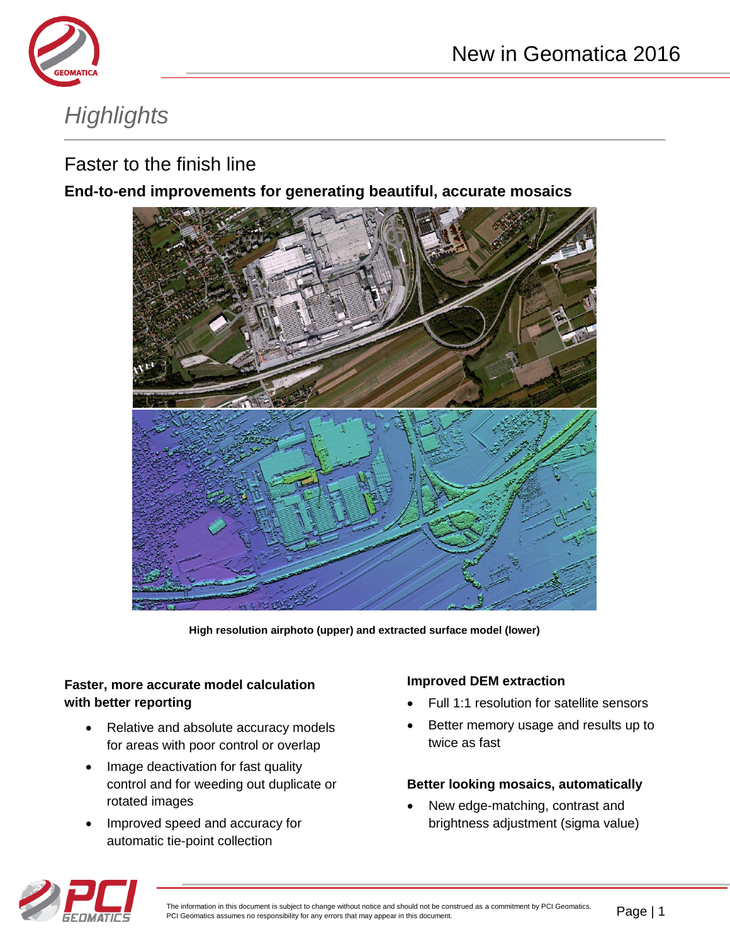

# *Highlights*

## Faster to the finish line

### **End-to-end improvements for generating beautiful, accurate mosaics**



**High resolution airphoto (upper) and extracted surface model (lower)**

#### **Faster, more accurate model calculation with better reporting**

- Relative and absolute accuracy models for areas with poor control or overlap
- Image deactivation for fast quality control and for weeding out duplicate or rotated images
- Improved speed and accuracy for automatic tie-point collection

#### **Improved DEM extraction**

- Full 1:1 resolution for satellite sensors
- Better memory usage and results up to twice as fast

#### **Better looking mosaics, automatically**

 New edge-matching, contrast and brightness adjustment (sigma value)

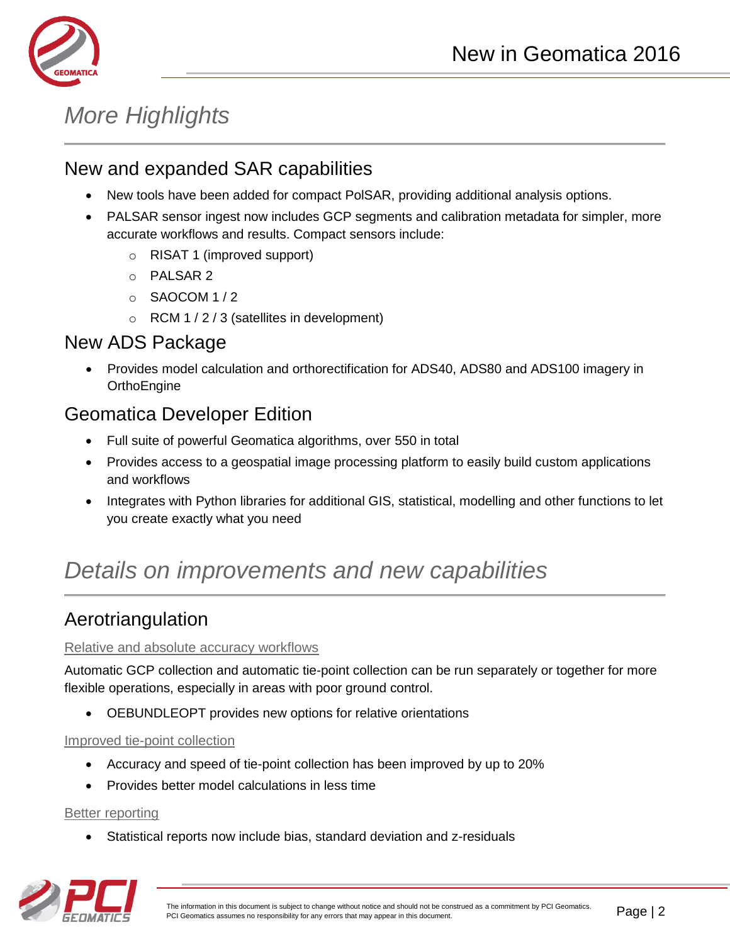



# *More Highlights*

## New and expanded SAR capabilities

- New tools have been added for compact PolSAR, providing additional analysis options.
- PALSAR sensor ingest now includes GCP segments and calibration metadata for simpler, more accurate workflows and results. Compact sensors include:
	- o RISAT 1 (improved support)
	- o PALSAR 2
	- o SAOCOM 1 / 2
	- $\circ$  RCM 1 / 2 / 3 (satellites in development)

### New ADS Package

 Provides model calculation and orthorectification for ADS40, ADS80 and ADS100 imagery in **OrthoEngine** 

### Geomatica Developer Edition

- Full suite of powerful Geomatica algorithms, over 550 in total
- Provides access to a geospatial image processing platform to easily build custom applications and workflows
- Integrates with Python libraries for additional GIS, statistical, modelling and other functions to let you create exactly what you need

## *Details on improvements and new capabilities*

### Aerotriangulation

#### Relative and absolute accuracy workflows

Automatic GCP collection and automatic tie-point collection can be run separately or together for more flexible operations, especially in areas with poor ground control.

OEBUNDLEOPT provides new options for relative orientations

#### Improved tie-point collection

- Accuracy and speed of tie-point collection has been improved by up to 20%
- Provides better model calculations in less time

#### Better reporting

Statistical reports now include bias, standard deviation and z-residuals

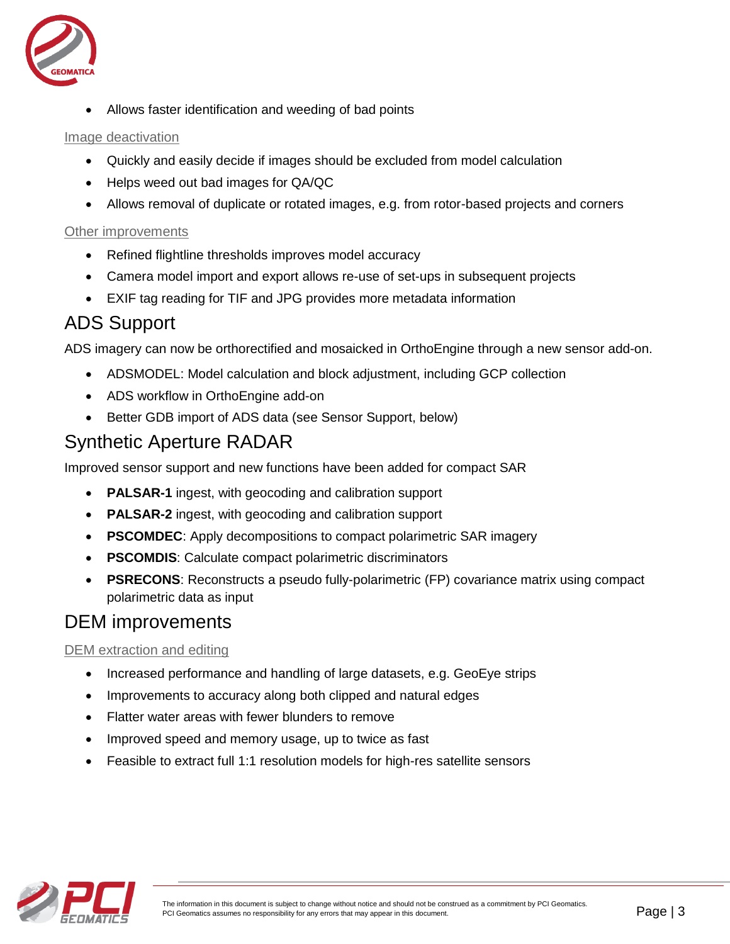

Allows faster identification and weeding of bad points

#### Image deactivation

- Quickly and easily decide if images should be excluded from model calculation
- Helps weed out bad images for QA/QC
- Allows removal of duplicate or rotated images, e.g. from rotor-based projects and corners

#### Other improvements

- Refined flightline thresholds improves model accuracy
- Camera model import and export allows re-use of set-ups in subsequent projects
- EXIF tag reading for TIF and JPG provides more metadata information

### ADS Support

ADS imagery can now be orthorectified and mosaicked in OrthoEngine through a new sensor add-on.

- ADSMODEL: Model calculation and block adjustment, including GCP collection
- ADS workflow in OrthoEngine add-on
- Better GDB import of ADS data (see Sensor Support, below)

## Synthetic Aperture RADAR

Improved sensor support and new functions have been added for compact SAR

- **PALSAR-1** ingest, with geocoding and calibration support
- **PALSAR-2** ingest, with geocoding and calibration support
- **PSCOMDEC**: Apply decompositions to compact polarimetric SAR imagery
- **PSCOMDIS:** Calculate compact polarimetric discriminators
- **PSRECONS**: Reconstructs a pseudo fully-polarimetric (FP) covariance matrix using compact polarimetric data as input

### DEM improvements

#### DEM extraction and editing

- Increased performance and handling of large datasets, e.g. GeoEye strips
- Improvements to accuracy along both clipped and natural edges
- Flatter water areas with fewer blunders to remove
- Improved speed and memory usage, up to twice as fast
- Feasible to extract full 1:1 resolution models for high-res satellite sensors